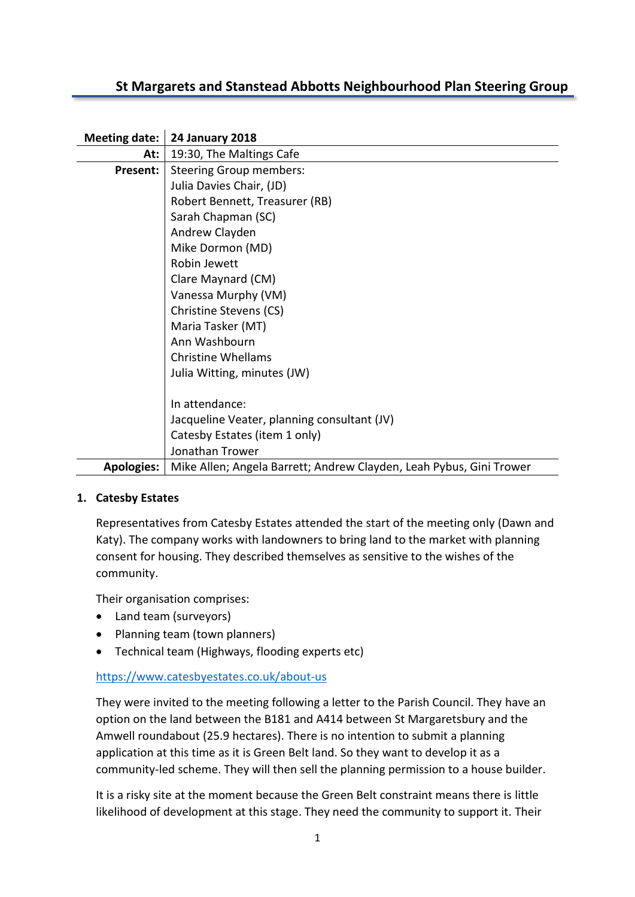# **St Margarets and Stanstead Abbotts Neighbourhood Plan Steering Group**

| Meeting date:     | <b>24 January 2018</b>                                              |
|-------------------|---------------------------------------------------------------------|
| At:               | 19:30, The Maltings Cafe                                            |
| Present:          | <b>Steering Group members:</b>                                      |
|                   | Julia Davies Chair, (JD)                                            |
|                   | Robert Bennett, Treasurer (RB)                                      |
|                   | Sarah Chapman (SC)                                                  |
|                   | Andrew Clayden                                                      |
|                   | Mike Dormon (MD)                                                    |
|                   | Robin Jewett                                                        |
|                   | Clare Maynard (CM)                                                  |
|                   | Vanessa Murphy (VM)                                                 |
|                   | Christine Stevens (CS)                                              |
|                   | Maria Tasker (MT)                                                   |
|                   | Ann Washbourn                                                       |
|                   | <b>Christine Whellams</b>                                           |
|                   | Julia Witting, minutes (JW)                                         |
|                   |                                                                     |
|                   | In attendance:                                                      |
|                   | Jacqueline Veater, planning consultant (JV)                         |
|                   | Catesby Estates (item 1 only)                                       |
|                   | Jonathan Trower                                                     |
| <b>Apologies:</b> | Mike Allen; Angela Barrett; Andrew Clayden, Leah Pybus, Gini Trower |

#### **1. Catesby Estates**

Representatives from Catesby Estates attended the start of the meeting only (Dawn and Katy). The company works with landowners to bring land to the market with planning consent for housing. They described themselves as sensitive to the wishes of the community.

Their organisation comprises:

- Land team (surveyors)
- Planning team (town planners)
- Technical team (Highways, flooding experts etc)

## <https://www.catesbyestates.co.uk/about-us>

They were invited to the meeting following a letter to the Parish Council. They have an option on the land between the B181 and A414 between St Margaretsbury and the Amwell roundabout (25.9 hectares). There is no intention to submit a planning application at this time as it is Green Belt land. So they want to develop it as a community-led scheme. They will then sell the planning permission to a house builder.

It is a risky site at the moment because the Green Belt constraint means there is little likelihood of development at this stage. They need the community to support it. Their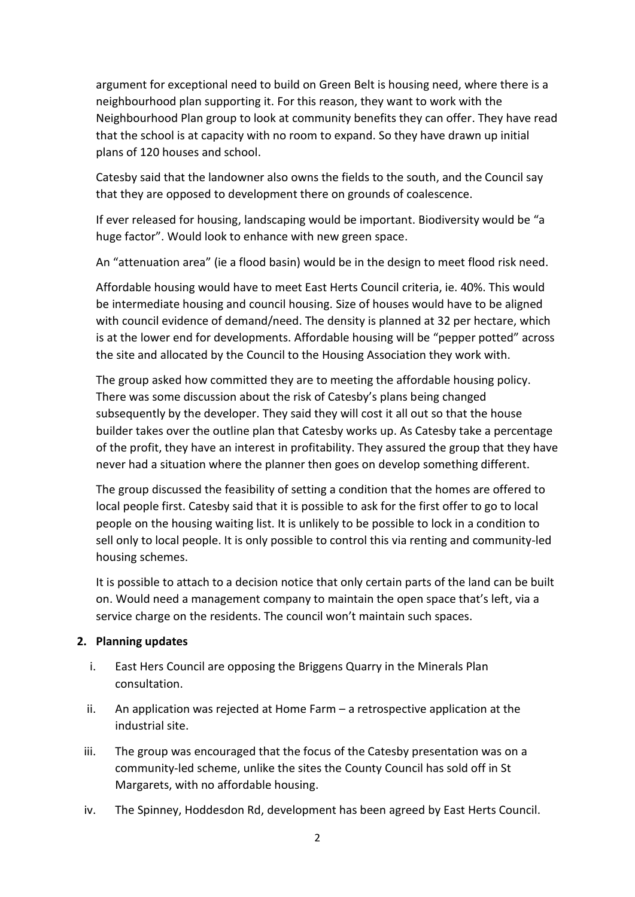argument for exceptional need to build on Green Belt is housing need, where there is a neighbourhood plan supporting it. For this reason, they want to work with the Neighbourhood Plan group to look at community benefits they can offer. They have read that the school is at capacity with no room to expand. So they have drawn up initial plans of 120 houses and school.

Catesby said that the landowner also owns the fields to the south, and the Council say that they are opposed to development there on grounds of coalescence.

If ever released for housing, landscaping would be important. Biodiversity would be "a huge factor". Would look to enhance with new green space.

An "attenuation area" (ie a flood basin) would be in the design to meet flood risk need.

Affordable housing would have to meet East Herts Council criteria, ie. 40%. This would be intermediate housing and council housing. Size of houses would have to be aligned with council evidence of demand/need. The density is planned at 32 per hectare, which is at the lower end for developments. Affordable housing will be "pepper potted" across the site and allocated by the Council to the Housing Association they work with.

The group asked how committed they are to meeting the affordable housing policy. There was some discussion about the risk of Catesby's plans being changed subsequently by the developer. They said they will cost it all out so that the house builder takes over the outline plan that Catesby works up. As Catesby take a percentage of the profit, they have an interest in profitability. They assured the group that they have never had a situation where the planner then goes on develop something different.

The group discussed the feasibility of setting a condition that the homes are offered to local people first. Catesby said that it is possible to ask for the first offer to go to local people on the housing waiting list. It is unlikely to be possible to lock in a condition to sell only to local people. It is only possible to control this via renting and community-led housing schemes.

It is possible to attach to a decision notice that only certain parts of the land can be built on. Would need a management company to maintain the open space that's left, via a service charge on the residents. The council won't maintain such spaces.

# **2. Planning updates**

- i. East Hers Council are opposing the Briggens Quarry in the Minerals Plan consultation.
- ii. An application was rejected at Home Farm a retrospective application at the industrial site.
- iii. The group was encouraged that the focus of the Catesby presentation was on a community-led scheme, unlike the sites the County Council has sold off in St Margarets, with no affordable housing.
- iv. The Spinney, Hoddesdon Rd, development has been agreed by East Herts Council.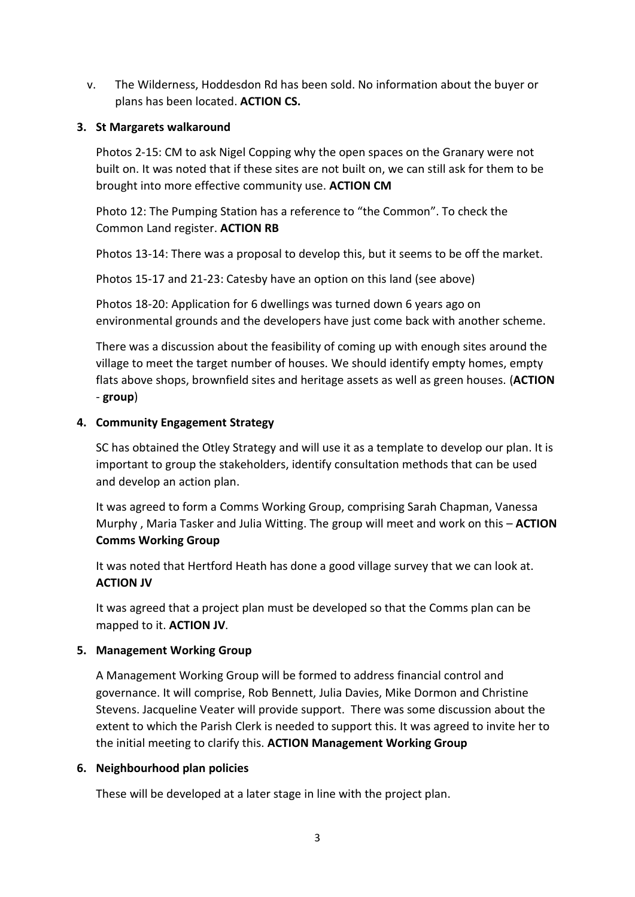v. The Wilderness, Hoddesdon Rd has been sold. No information about the buyer or plans has been located. **ACTION CS.**

#### **3. St Margarets walkaround**

Photos 2-15: CM to ask Nigel Copping why the open spaces on the Granary were not built on. It was noted that if these sites are not built on, we can still ask for them to be brought into more effective community use. **ACTION CM**

Photo 12: The Pumping Station has a reference to "the Common". To check the Common Land register. **ACTION RB**

Photos 13-14: There was a proposal to develop this, but it seems to be off the market.

Photos 15-17 and 21-23: Catesby have an option on this land (see above)

Photos 18-20: Application for 6 dwellings was turned down 6 years ago on environmental grounds and the developers have just come back with another scheme.

There was a discussion about the feasibility of coming up with enough sites around the village to meet the target number of houses. We should identify empty homes, empty flats above shops, brownfield sites and heritage assets as well as green houses. (**ACTION** - **group**)

## **4. Community Engagement Strategy**

SC has obtained the Otley Strategy and will use it as a template to develop our plan. It is important to group the stakeholders, identify consultation methods that can be used and develop an action plan.

It was agreed to form a Comms Working Group, comprising Sarah Chapman, Vanessa Murphy , Maria Tasker and Julia Witting. The group will meet and work on this – **ACTION Comms Working Group**

It was noted that Hertford Heath has done a good village survey that we can look at. **ACTION JV**

It was agreed that a project plan must be developed so that the Comms plan can be mapped to it. **ACTION JV**.

## **5. Management Working Group**

A Management Working Group will be formed to address financial control and governance. It will comprise, Rob Bennett, Julia Davies, Mike Dormon and Christine Stevens. Jacqueline Veater will provide support. There was some discussion about the extent to which the Parish Clerk is needed to support this. It was agreed to invite her to the initial meeting to clarify this. **ACTION Management Working Group**

## **6. Neighbourhood plan policies**

These will be developed at a later stage in line with the project plan.